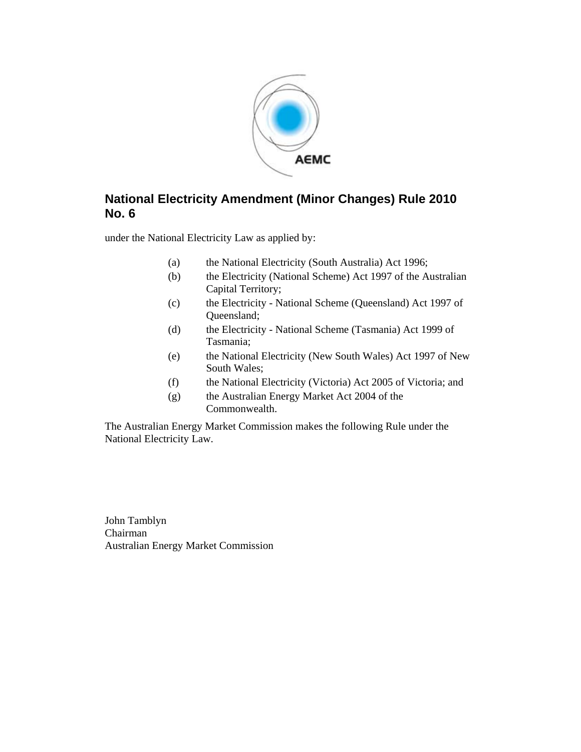

## **National Electricity Amendment (Minor Changes) Rule 2010 No. 6**

under the National Electricity Law as applied by:

- (a) the National Electricity (South Australia) Act 1996;
- (b) the Electricity (National Scheme) Act 1997 of the Australian Capital Territory;
- (c) the Electricity National Scheme (Queensland) Act 1997 of Queensland;
- (d) the Electricity National Scheme (Tasmania) Act 1999 of Tasmania;
- (e) the National Electricity (New South Wales) Act 1997 of New South Wales;
- (f) the National Electricity (Victoria) Act 2005 of Victoria; and
- (g) the Australian Energy Market Act 2004 of the Commonwealth.

The Australian Energy Market Commission makes the following Rule under the National Electricity Law.

John Tamblyn Chairman Australian Energy Market Commission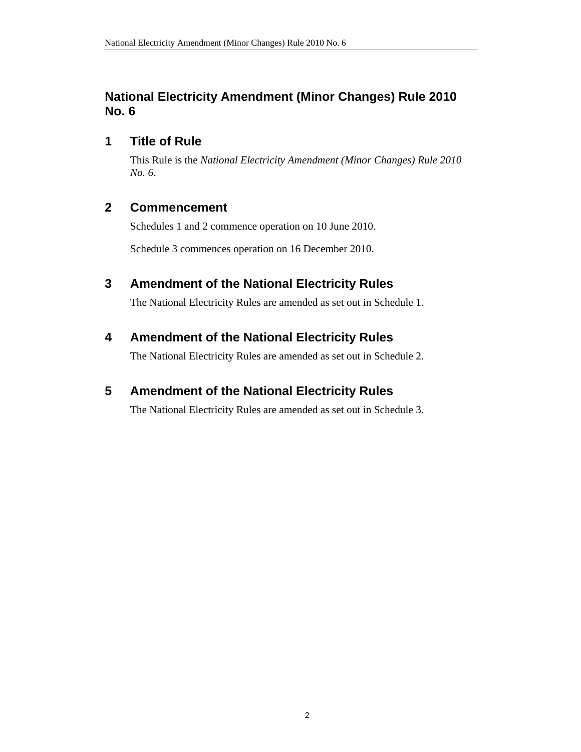## **National Electricity Amendment (Minor Changes) Rule 2010 No. 6**

## **1 Title of Rule**

This Rule is the *National Electricity Amendment (Minor Changes) Rule 2010 No. 6*.

## **2 Commencement**

Schedules 1 and 2 commence operation on 10 June 2010.

Schedule 3 commences operation on 16 December 2010.

## **3 Amendment of the National Electricity Rules**

The National Electricity Rules are amended as set out in Schedule 1.

## **4 Amendment of the National Electricity Rules**

The National Electricity Rules are amended as set out in Schedule 2.

## **5 Amendment of the National Electricity Rules**

The National Electricity Rules are amended as set out in Schedule 3.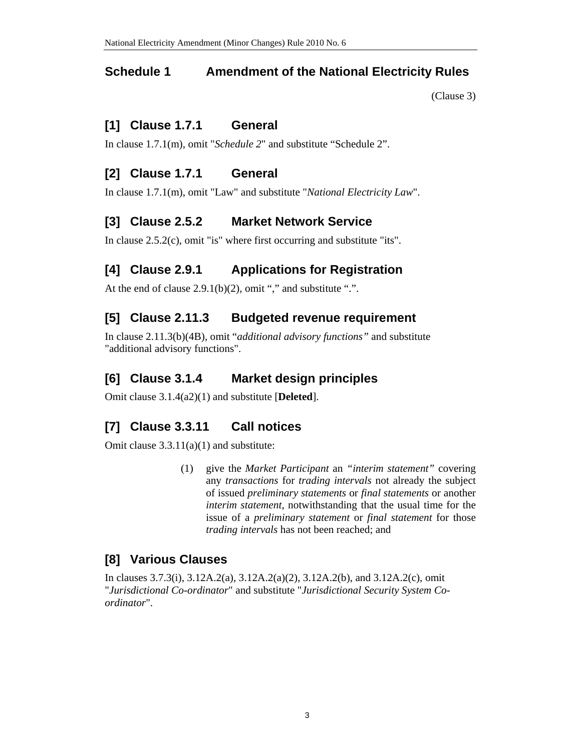### **Schedule 1 Amendment of the National Electricity Rules**

(Clause 3)

## **[1] Clause 1.7.1 General**

In clause 1.7.1(m), omit "*Schedule 2*" and substitute "Schedule 2".

## **[2] Clause 1.7.1 General**

In clause 1.7.1(m), omit "Law" and substitute "*National Electricity Law*".

## **[3] Clause 2.5.2 Market Network Service**

In clause 2.5.2(c), omit "is" where first occurring and substitute "its".

# **[4] Clause 2.9.1 Applications for Registration**

At the end of clause  $2.9.1(b)(2)$ , omit "," and substitute ".".

## **[5] Clause 2.11.3 Budgeted revenue requirement**

In clause 2.11.3(b)(4B), omit "*additional advisory functions"* and substitute "additional advisory functions".

## **[6] Clause 3.1.4 Market design principles**

Omit clause 3.1.4(a2)(1) and substitute [**Deleted**].

## **[7] Clause 3.3.11 Call notices**

Omit clause 3.3.11(a)(1) and substitute:

(1) give the *Market Participant* an *"interim statement"* covering any *transactions* for *trading intervals* not already the subject of issued *preliminary statements* or *final statements* or another *interim statement*, notwithstanding that the usual time for the issue of a *preliminary statement* or *final statement* for those *trading intervals* has not been reached; and

## **[8] Various Clauses**

In clauses 3.7.3(i), 3.12A.2(a), 3.12A.2(a)(2), 3.12A.2(b), and 3.12A.2(c), omit "*Jurisdictional Co-ordinator*" and substitute "*Jurisdictional Security System Coordinator*".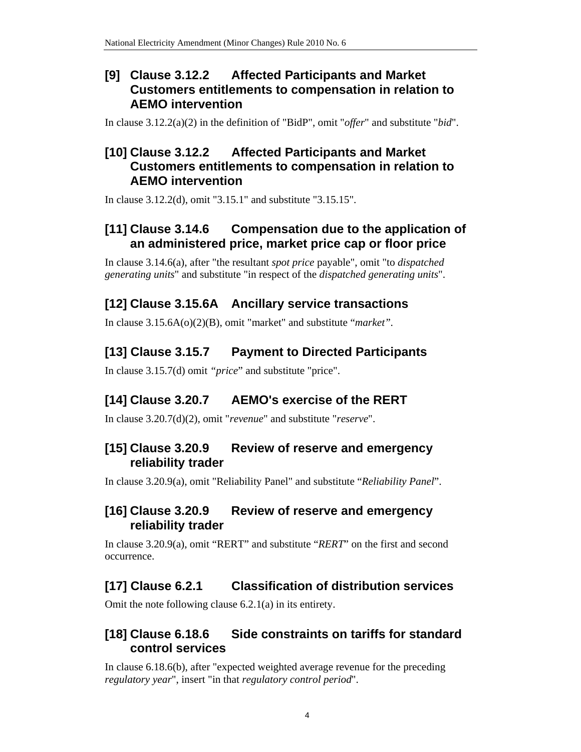## **[9] Clause 3.12.2 Affected Participants and Market Customers entitlements to compensation in relation to AEMO intervention**

In clause 3.12.2(a)(2) in the definition of "BidP", omit "*offer*" and substitute "*bid*".

## **[10] Clause 3.12.2 Affected Participants and Market Customers entitlements to compensation in relation to AEMO intervention**

In clause 3.12.2(d), omit "3.15.1" and substitute "3.15.15".

## **[11] Clause 3.14.6 Compensation due to the application of an administered price, market price cap or floor price**

In clause 3.14.6(a), after "the resultant *spot price* payable", omit "to *dispatched generating units*" and substitute "in respect of the *dispatched generating units*".

# **[12] Clause 3.15.6A Ancillary service transactions**

In clause 3.15.6A(o)(2)(B), omit "market" and substitute "*market".*

# **[13] Clause 3.15.7 Payment to Directed Participants**

In clause 3.15.7(d) omit *"price*" and substitute "price".

# **[14] Clause 3.20.7 AEMO's exercise of the RERT**

In clause 3.20.7(d)(2), omit "*revenue*" and substitute "*reserve*".

## **[15] Clause 3.20.9 Review of reserve and emergency reliability trader**

In clause 3.20.9(a), omit "Reliability Panel" and substitute "*Reliability Panel*".

## **[16] Clause 3.20.9 Review of reserve and emergency reliability trader**

In clause 3.20.9(a), omit "RERT" and substitute "*RERT*" on the first and second occurrence.

# **[17] Clause 6.2.1 Classification of distribution services**

Omit the note following clause 6.2.1(a) in its entirety.

## **[18] Clause 6.18.6 Side constraints on tariffs for standard control services**

In clause 6.18.6(b), after "expected weighted average revenue for the preceding *regulatory year*", insert "in that *regulatory control period*".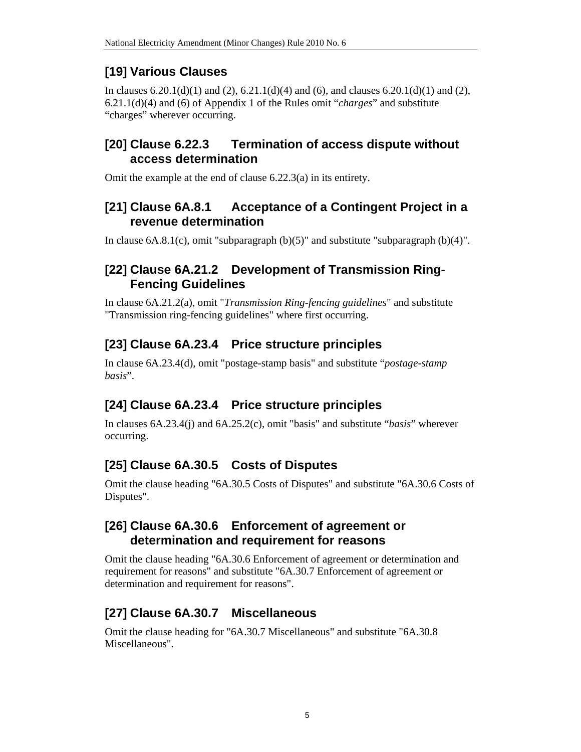# **[19] Various Clauses**

In clauses  $6.20.1(d)(1)$  and  $(2)$ ,  $6.21.1(d)(4)$  and  $(6)$ , and clauses  $6.20.1(d)(1)$  and  $(2)$ , 6.21.1(d)(4) and (6) of Appendix 1 of the Rules omit "*charges*" and substitute "charges" wherever occurring.

## **[20] Clause 6.22.3 Termination of access dispute without access determination**

Omit the example at the end of clause 6.22.3(a) in its entirety.

## **[21] Clause 6A.8.1 Acceptance of a Contingent Project in a revenue determination**

In clause  $6A.8.1(c)$ , omit "subparagraph  $(b)(5)$ " and substitute "subparagraph  $(b)(4)$ ".

## **[22] Clause 6A.21.2 Development of Transmission Ring-Fencing Guidelines**

In clause 6A.21.2(a), omit "*Transmission Ring-fencing guidelines*" and substitute "Transmission ring-fencing guidelines" where first occurring.

# **[23] Clause 6A.23.4 Price structure principles**

In clause 6A.23.4(d), omit "postage-stamp basis" and substitute "*postage-stamp basis*".

# **[24] Clause 6A.23.4 Price structure principles**

In clauses 6A.23.4(j) and 6A.25.2(c), omit "basis" and substitute "*basis*" wherever occurring.

# **[25] Clause 6A.30.5 Costs of Disputes**

Omit the clause heading "6A.30.5 Costs of Disputes" and substitute "6A.30.6 Costs of Disputes".

## **[26] Clause 6A.30.6 Enforcement of agreement or determination and requirement for reasons**

Omit the clause heading "6A.30.6 Enforcement of agreement or determination and requirement for reasons" and substitute "6A.30.7 Enforcement of agreement or determination and requirement for reasons".

# **[27] Clause 6A.30.7 Miscellaneous**

Omit the clause heading for "6A.30.7 Miscellaneous" and substitute "6A.30.8 Miscellaneous".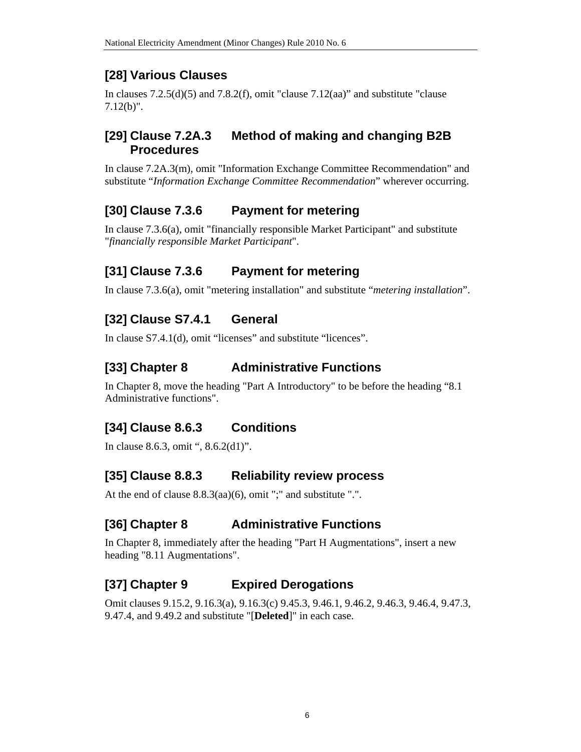# **[28] Various Clauses**

In clauses  $7.2.5(d)(5)$  and  $7.8.2(f)$ , omit "clause  $7.12(aa)$ " and substitute "clause 7.12(b)".

## **[29] Clause 7.2A.3 Method of making and changing B2B Procedures**

In clause 7.2A.3(m), omit "Information Exchange Committee Recommendation" and substitute "*Information Exchange Committee Recommendation*" wherever occurring.

# **[30] Clause 7.3.6 Payment for metering**

In clause 7.3.6(a), omit "financially responsible Market Participant" and substitute "*financially responsible Market Participant*".

# **[31] Clause 7.3.6 Payment for metering**

In clause 7.3.6(a), omit "metering installation" and substitute "*metering installation*".

# **[32] Clause S7.4.1 General**

In clause S7.4.1(d), omit "licenses" and substitute "licences".

# **[33] Chapter 8 Administrative Functions**

In Chapter 8, move the heading "Part A Introductory" to be before the heading "8.1 Administrative functions".

# **[34] Clause 8.6.3 Conditions**

In clause 8.6.3, omit ", 8.6.2(d1)".

# **[35] Clause 8.8.3 Reliability review process**

At the end of clause 8.8.3(aa)(6), omit ";" and substitute ".".

# **[36] Chapter 8 Administrative Functions**

In Chapter 8, immediately after the heading "Part H Augmentations", insert a new heading "8.11 Augmentations".

# **[37] Chapter 9 Expired Derogations**

Omit clauses 9.15.2, 9.16.3(a), 9.16.3(c) 9.45.3, 9.46.1, 9.46.2, 9.46.3, 9.46.4, 9.47.3, 9.47.4, and 9.49.2 and substitute "[**Deleted**]" in each case.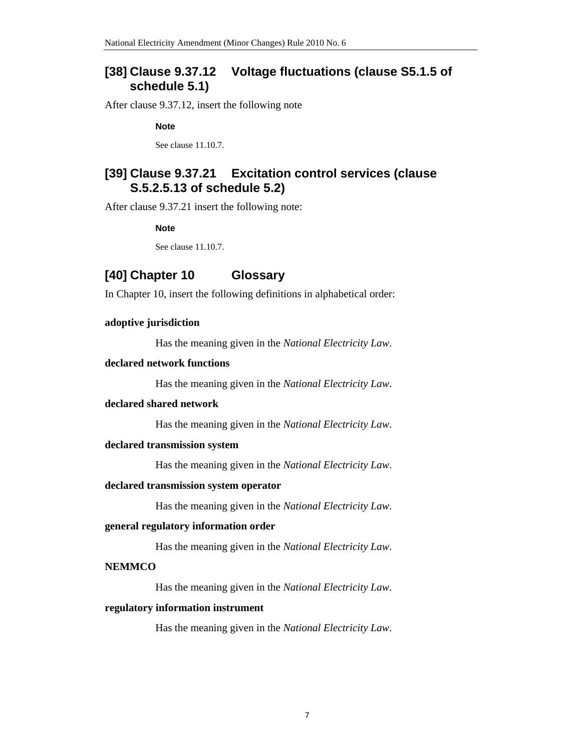### **[38] Clause 9.37.12 Voltage fluctuations (clause S5.1.5 of schedule 5.1)**

After clause 9.37.12, insert the following note

**Note** 

See clause 11.10.7.

### **[39] Clause 9.37.21 Excitation control services (clause S.5.2.5.13 of schedule 5.2)**

After clause 9.37.21 insert the following note:

**Note** 

See clause 11.10.7.

### **[40] Chapter 10 Glossary**

In Chapter 10, insert the following definitions in alphabetical order:

#### **adoptive jurisdiction**

Has the meaning given in the *National Electricity Law*.

#### **declared network functions**

Has the meaning given in the *National Electricity Law*.

#### **declared shared network**

Has the meaning given in the *National Electricity Law*.

#### **declared transmission system**

Has the meaning given in the *National Electricity Law*.

#### **declared transmission system operator**

Has the meaning given in the *National Electricity Law*.

#### **general regulatory information order**

Has the meaning given in the *National Electricity Law*.

#### **NEMMCO**

Has the meaning given in the *National Electricity Law*.

#### **regulatory information instrument**

Has the meaning given in the *National Electricity Law*.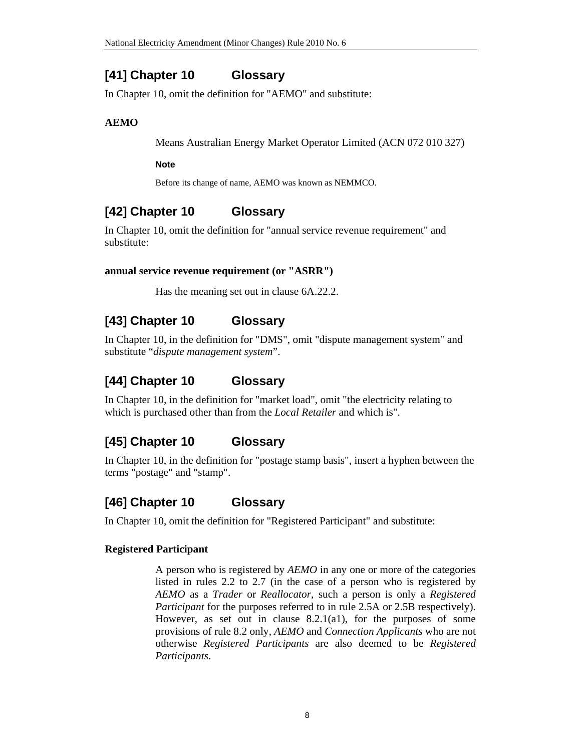# **[41] Chapter 10 Glossary**

In Chapter 10, omit the definition for "AEMO" and substitute:

### **AEMO**

Means Australian Energy Market Operator Limited (ACN 072 010 327)

### **Note**

Before its change of name, AEMO was known as NEMMCO.

# **[42] Chapter 10 Glossary**

In Chapter 10, omit the definition for "annual service revenue requirement" and substitute:

### **annual service revenue requirement (or "ASRR")**

Has the meaning set out in clause 6A.22.2.

# **[43] Chapter 10 Glossary**

In Chapter 10, in the definition for "DMS", omit "dispute management system" and substitute "*dispute management system*".

# **[44] Chapter 10 Glossary**

In Chapter 10, in the definition for "market load", omit "the electricity relating to which is purchased other than from the *Local Retailer* and which is".

# **[45] Chapter 10 Glossary**

In Chapter 10, in the definition for "postage stamp basis", insert a hyphen between the terms "postage" and "stamp".

# **[46] Chapter 10 Glossary**

In Chapter 10, omit the definition for "Registered Participant" and substitute:

### **Registered Participant**

A person who is registered by *AEMO* in any one or more of the categories listed in rules 2.2 to 2.7 (in the case of a person who is registered by *AEMO* as a *Trader* or *Reallocator*, such a person is only a *Registered Participant* for the purposes referred to in rule 2.5A or 2.5B respectively). However, as set out in clause 8.2.1(a1), for the purposes of some provisions of rule 8.2 only, *AEMO* and *Connection Applicants* who are not otherwise *Registered Participants* are also deemed to be *Registered Participants*.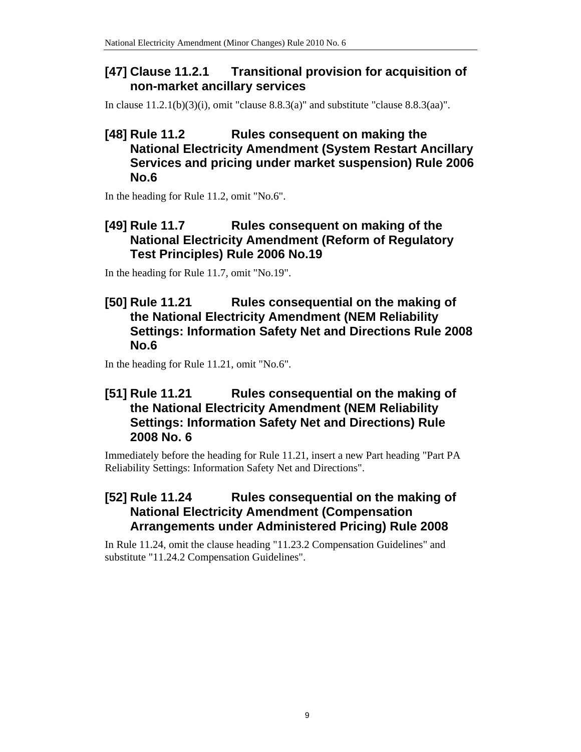## **[47] Clause 11.2.1 Transitional provision for acquisition of non-market ancillary services**

In clause 11.2.1(b)(3)(i), omit "clause 8.8.3(a)" and substitute "clause 8.8.3(aa)".

## **[48] Rule 11.2 Rules consequent on making the National Electricity Amendment (System Restart Ancillary Services and pricing under market suspension) Rule 2006 No.6**

In the heading for Rule 11.2, omit "No.6".

## **[49] Rule 11.7 Rules consequent on making of the National Electricity Amendment (Reform of Regulatory Test Principles) Rule 2006 No.19**

In the heading for Rule 11.7, omit "No.19".

## **[50] Rule 11.21 Rules consequential on the making of the National Electricity Amendment (NEM Reliability Settings: Information Safety Net and Directions Rule 2008 No.6**

In the heading for Rule 11.21, omit "No.6".

## **[51] Rule 11.21 Rules consequential on the making of the National Electricity Amendment (NEM Reliability Settings: Information Safety Net and Directions) Rule 2008 No. 6**

Immediately before the heading for Rule 11.21, insert a new Part heading "Part PA Reliability Settings: Information Safety Net and Directions".

## **[52] Rule 11.24 Rules consequential on the making of National Electricity Amendment (Compensation Arrangements under Administered Pricing) Rule 2008**

In Rule 11.24, omit the clause heading "11.23.2 Compensation Guidelines" and substitute "11.24.2 Compensation Guidelines".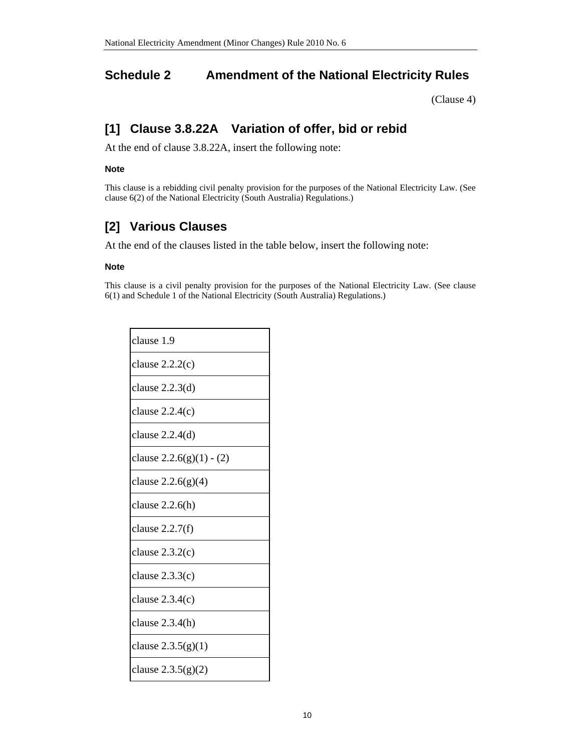## **Schedule 2 Amendment of the National Electricity Rules**

(Clause 4)

# **[1] Clause 3.8.22A Variation of offer, bid or rebid**

At the end of clause 3.8.22A, insert the following note:

#### **Note**

This clause is a rebidding civil penalty provision for the purposes of the National Electricity Law. (See clause 6(2) of the National Electricity (South Australia) Regulations.)

# **[2] Various Clauses**

At the end of the clauses listed in the table below, insert the following note:

#### **Note**

This clause is a civil penalty provision for the purposes of the National Electricity Law. (See clause 6(1) and Schedule 1 of the National Electricity (South Australia) Regulations.)

| clause 1.9                 |
|----------------------------|
| clause $2.2.2(c)$          |
| clause $2.2.3(d)$          |
| clause $2.2.4(c)$          |
| clause $2.2.4(d)$          |
| clause $2.2.6(g)(1) - (2)$ |
| clause $2.2.6(g)(4)$       |
| clause $2.2.6(h)$          |
| clause $2.2.7(f)$          |
| clause $2.3.2(c)$          |
| clause $2.3.3(c)$          |
| clause $2.3.4(c)$          |
| clause $2.3.4(h)$          |
| clause $2.3.5(g)(1)$       |
| clause $2.3.5(g)(2)$       |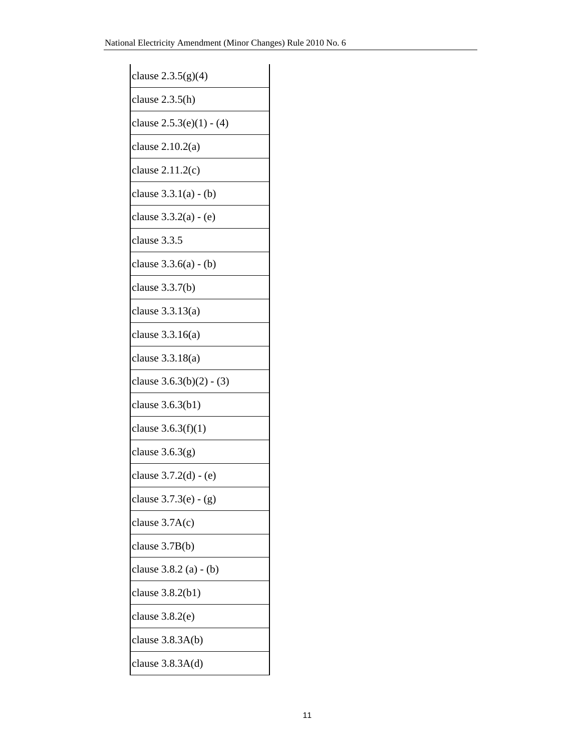| clause $2.3.5(g)(4)$       |
|----------------------------|
| clause $2.3.5(h)$          |
| clause $2.5.3(e)(1) - (4)$ |
| clause 2.10.2(a)           |
| clause $2.11.2(c)$         |
| clause $3.3.1(a) - (b)$    |
| clause $3.3.2(a) - (e)$    |
| clause 3.3.5               |
| clause $3.3.6(a) - (b)$    |
| clause $3.3.7(b)$          |
| clause $3.3.13(a)$         |
| clause $3.3.16(a)$         |
| clause $3.3.18(a)$         |
| clause $3.6.3(b)(2) - (3)$ |
| clause 3.6.3(b1)           |
| clause $3.6.3(f)(1)$       |
| clause $3.6.3(g)$          |
| clause 3.7.2(d) - (e)      |
| clause 3.7.3(e) - (g)      |
| clause $3.7A(c)$           |
| clause 3.7B(b)             |
| clause 3.8.2 (a) - (b)     |
| clause 3.8.2(b1)           |
| clause $3.8.2(e)$          |
| clause $3.8.3A(b)$         |
| clause $3.8.3A(d)$         |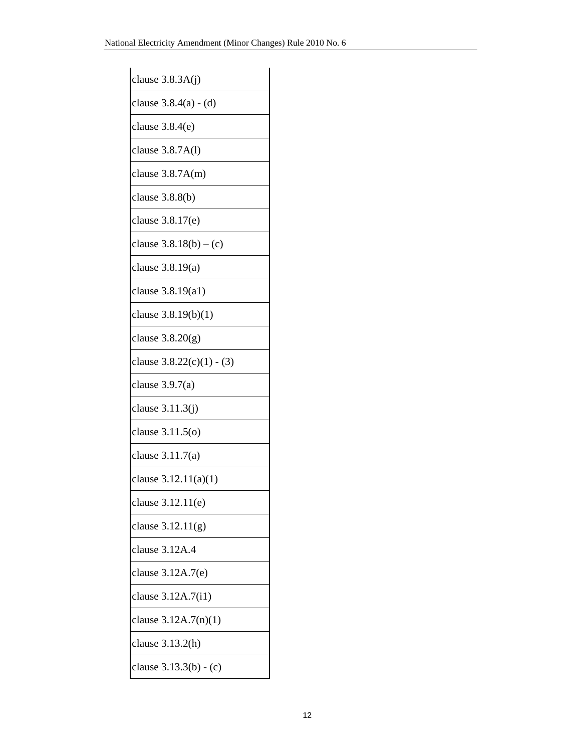| clause $3.8.3A(j)$          |
|-----------------------------|
| clause $3.8.4(a) - (d)$     |
| clause $3.8.4(e)$           |
| clause 3.8.7A(l)            |
| clause $3.8.7A(m)$          |
| clause 3.8.8(b)             |
| clause 3.8.17(e)            |
| clause $3.8.18(b) - (c)$    |
| clause $3.8.19(a)$          |
| clause 3.8.19(a1)           |
| clause 3.8.19(b)(1)         |
| clause $3.8.20(g)$          |
| clause $3.8.22(c)(1) - (3)$ |
| clause $3.9.7(a)$           |
| clause 3.11.3(j)            |
| clause $3.11.5(o)$          |
| clause $3.11.7(a)$          |
| clause 3.12.11(a)(1)        |
| clause 3.12.11(e)           |
| clause $3.12.11(g)$         |
| clause 3.12A.4              |
| clause 3.12A.7(e)           |
| clause 3.12A.7(i1)          |
| clause $3.12A.7(n)(1)$      |
| clause 3.13.2(h)            |
| clause 3.13.3(b) - (c)      |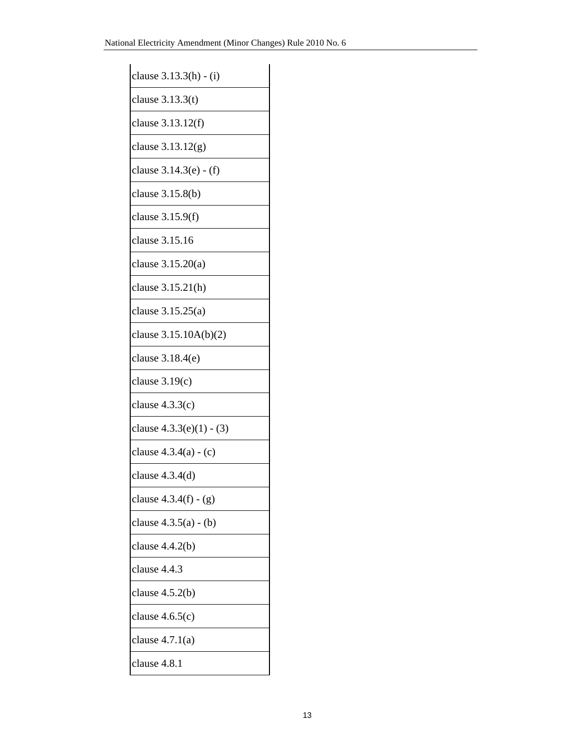| clause 3.13.3(h) - (i)     |
|----------------------------|
| clause $3.13.3(t)$         |
| clause 3.13.12(f)          |
| clause 3.13.12(g)          |
| clause 3.14.3(e) - (f)     |
| clause 3.15.8(b)           |
| clause 3.15.9(f)           |
| clause 3.15.16             |
| clause 3.15.20(a)          |
| clause 3.15.21(h)          |
| clause 3.15.25(a)          |
| clause 3.15.10A(b)(2)      |
| clause 3.18.4(e)           |
| clause $3.19(c)$           |
| clause $4.3.3(c)$          |
| clause $4.3.3(e)(1) - (3)$ |
| clause $4.3.4(a) - (c)$    |
| clause $4.3.4(d)$          |
| clause $4.3.4(f) - (g)$    |
| clause $4.3.5(a) - (b)$    |
| clause $4.4.2(b)$          |
| clause 4.4.3               |
| clause $4.5.2(b)$          |
| clause $4.6.5(c)$          |
| clause $4.7.1(a)$          |
| clause 4.8.1               |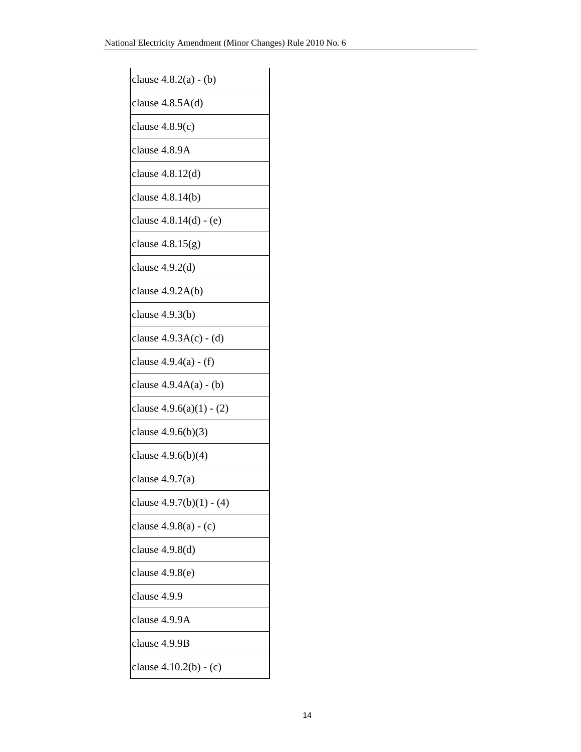| clause $4.8.2(a) - (b)$    |
|----------------------------|
| clause $4.8.5A(d)$         |
| clause $4.8.9(c)$          |
| clause 4.8.9A              |
| clause $4.8.12(d)$         |
| clause 4.8.14(b)           |
| clause 4.8.14(d) - (e)     |
| clause $4.8.15(g)$         |
| clause $4.9.2(d)$          |
| clause $4.9.2A(b)$         |
| clause 4.9.3(b)            |
| clause $4.9.3A(c) - (d)$   |
| clause 4.9.4(a) - (f)      |
| clause $4.9.4A(a) - (b)$   |
| clause $4.9.6(a)(1) - (2)$ |
| clause $4.9.6(b)(3)$       |
| clause 4.9.6(b)(4)         |
| clause $4.9.7(a)$          |
| clause $4.9.7(b)(1) - (4)$ |
| clause $4.9.8(a) - (c)$    |
| clause 4.9.8(d)            |
| clause 4.9.8(e)            |
| clause 4.9.9               |
| clause 4.9.9A              |
| clause 4.9.9B              |
| clause 4.10.2(b) - (c)     |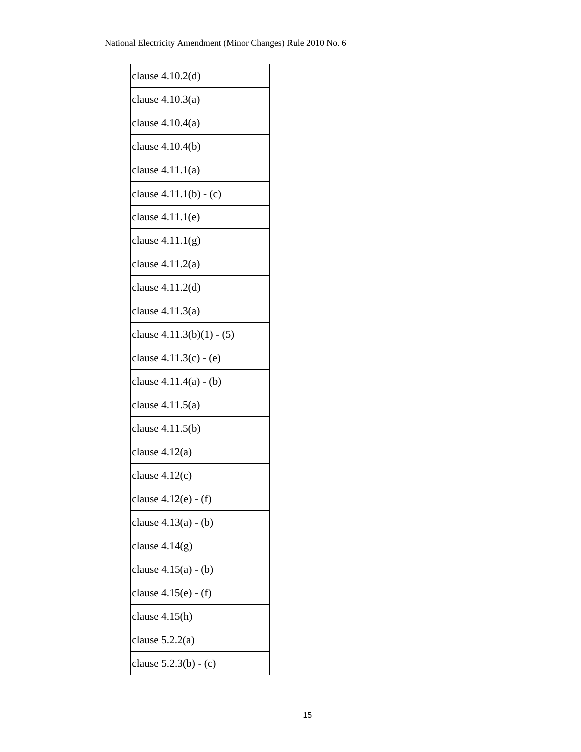| clause 4.10.2(d)          |
|---------------------------|
| clause 4.10.3(a)          |
| clause 4.10.4(a)          |
| clause 4.10.4(b)          |
| clause 4.11.1(a)          |
| clause 4.11.1(b) - (c)    |
| clause $4.11.1(e)$        |
| clause $4.11.1(g)$        |
| clause 4.11.2(a)          |
| clause 4.11.2(d)          |
| clause $4.11.3(a)$        |
| clause 4.11.3(b)(1) - (5) |
| clause 4.11.3(c) - (e)    |
| clause 4.11.4(a) - (b)    |
| clause 4.11.5(a)          |
| clause 4.11.5(b)          |
| clause 4.12(a)            |
| clause 4.12(c)            |
| clause 4.12(e) - (f)      |
| clause $4.13(a) - (b)$    |
| clause $4.14(g)$          |
| clause 4.15(a) - (b)      |
| clause 4.15(e) - (f)      |
| clause 4.15(h)            |
| clause $5.2.2(a)$         |
| clause 5.2.3(b) - (c)     |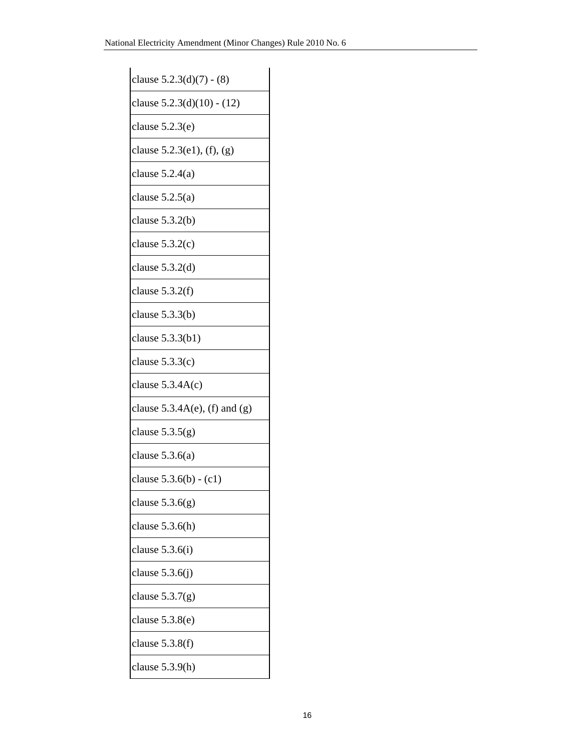| clause $5.2.3(d)(7) - (8)$       |
|----------------------------------|
| clause $5.2.3(d)(10) - (12)$     |
| clause $5.2.3(e)$                |
| clause $5.2.3(e1)$ , (f), (g)    |
| clause $5.2.4(a)$                |
| clause $5.2.5(a)$                |
| clause $5.3.2(b)$                |
| clause $5.3.2(c)$                |
| clause $5.3.2(d)$                |
| clause $5.3.2(f)$                |
| clause $5.3.3(b)$                |
| clause $5.3.3(b1)$               |
| clause $5.3.3(c)$                |
| clause $5.3.4A(c)$               |
| clause $5.3.4A(e)$ , (f) and (g) |
| clause $5.3.5(g)$                |
| clause $5.3.6(a)$                |
| clause $5.3.6(b) - (c1)$         |
| clause $5.3.6(g)$                |
| clause $5.3.6(h)$                |
| clause $5.3.6(i)$                |
| clause $5.3.6(j)$                |
| clause $5.3.7(g)$                |
| clause 5.3.8(e)                  |
| clause $5.3.8(f)$                |
| clause 5.3.9(h)                  |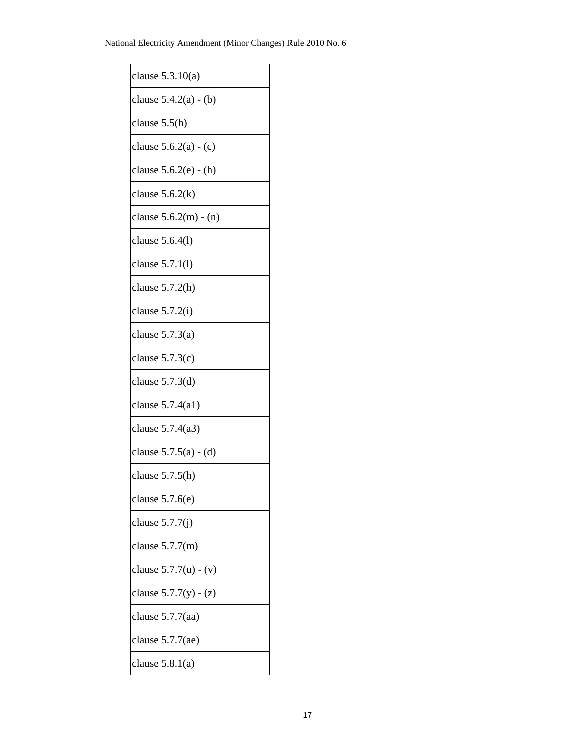| clause $5.3.10(a)$      |
|-------------------------|
| clause $5.4.2(a) - (b)$ |
| clause $5.5(h)$         |
| clause $5.6.2(a) - (c)$ |
| clause $5.6.2(e) - (h)$ |
| clause $5.6.2(k)$       |
| clause $5.6.2(m) - (n)$ |
| clause $5.6.4(l)$       |
| clause $5.7.1(l)$       |
| clause $5.7.2(h)$       |
| clause $5.7.2(i)$       |
| clause $5.7.3(a)$       |
| clause $5.7.3(c)$       |
| clause $5.7.3(d)$       |
| clause $5.7.4(a1)$      |
| clause $5.7.4(a3)$      |
| clause $5.7.5(a) - (d)$ |
| clause $5.7.5(h)$       |
| clause $5.7.6(e)$       |
| clause $5.7.7(j)$       |
| clause $5.7.7(m)$       |
| clause $5.7.7(u) - (v)$ |
| clause $5.7.7(y) - (z)$ |
| clause $5.7.7$ (aa)     |
| clause $5.7.7$ (ae)     |
| clause $5.8.1(a)$       |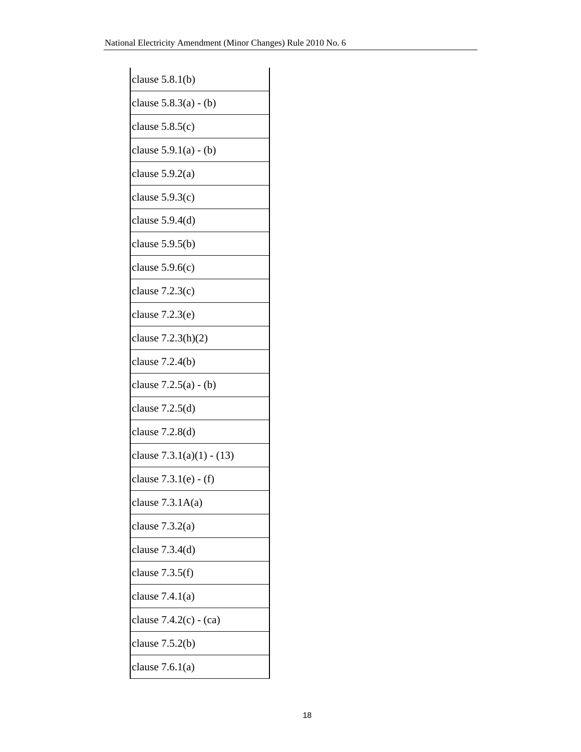| clause $5.8.1(b)$           |
|-----------------------------|
| clause $5.8.3(a) - (b)$     |
| clause $5.8.5(c)$           |
| clause $5.9.1(a) - (b)$     |
| clause $5.9.2(a)$           |
| clause $5.9.3(c)$           |
| clause $5.9.4(d)$           |
| clause $5.9.5(b)$           |
| clause $5.9.6(c)$           |
| clause $7.2.3(c)$           |
| clause $7.2.3(e)$           |
| clause $7.2.3(h)(2)$        |
| clause $7.2.4(b)$           |
| clause $7.2.5(a) - (b)$     |
| clause $7.2.5(d)$           |
| clause 7.2.8(d)             |
| clause $7.3.1(a)(1) - (13)$ |
| clause 7.3.1(e) - (f)       |
| clause $7.3.1A(a)$          |
| clause $7.3.2(a)$           |
| clause $7.3.4(d)$           |
| clause $7.3.5(f)$           |
| clause $7.4.1(a)$           |
| clause $7.4.2(c) - (ca)$    |
| clause $7.5.2(b)$           |
| clause $7.6.1(a)$           |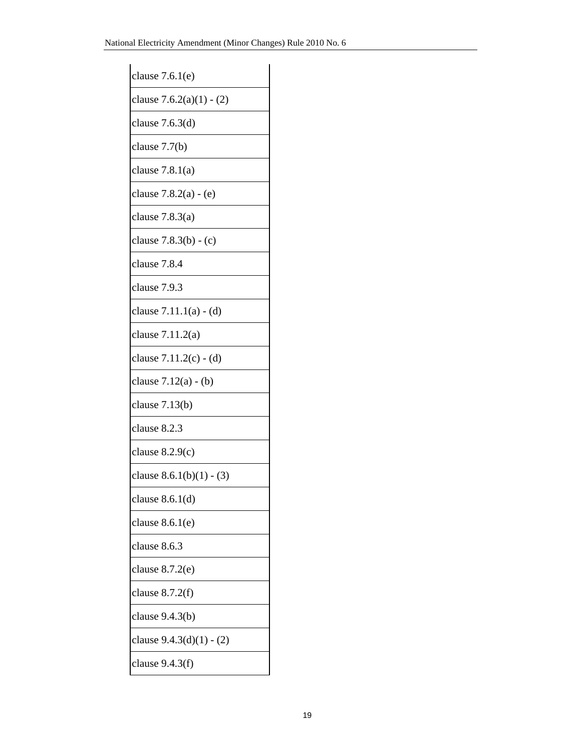| clause $7.6.1(e)$          |
|----------------------------|
| clause $7.6.2(a)(1) - (2)$ |
| clause 7.6.3(d)            |
| clause 7.7(b)              |
| clause $7.8.1(a)$          |
| clause 7.8.2(a) - (e)      |
| clause 7.8.3(a)            |
| clause 7.8.3(b) - (c)      |
| clause 7.8.4               |
| clause 7.9.3               |
| clause 7.11.1(a) - (d)     |
| clause $7.11.2(a)$         |
| clause 7.11.2(c) - (d)     |
| clause 7.12(a) - (b)       |
| clause 7.13(b)             |
| clause 8.2.3               |
| clause $8.2.9(c)$          |
| clause $8.6.1(b)(1) - (3)$ |
| clause $8.6.1(d)$          |
| clause 8.6.1(e)            |
| clause 8.6.3               |
| clause 8.7.2(e)            |
| clause $8.7.2(f)$          |
| clause 9.4.3(b)            |
| clause $9.4.3(d)(1) - (2)$ |
| clause $9.4.3(f)$          |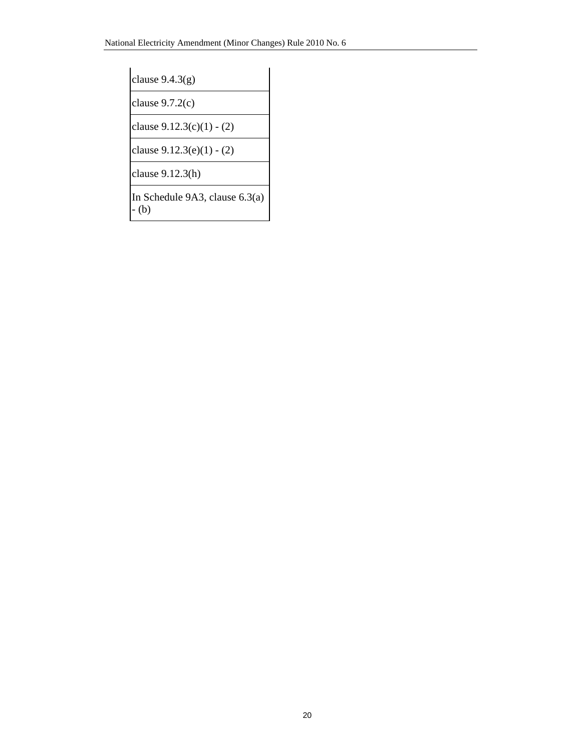clause 9.4.3(g)

clause 9.7.2(c)

clause 9.12.3(c)(1) - (2)

clause 9.12.3(e)(1) - (2)

clause 9.12.3(h)

In Schedule 9A3, clause 6.3(a) - (b)